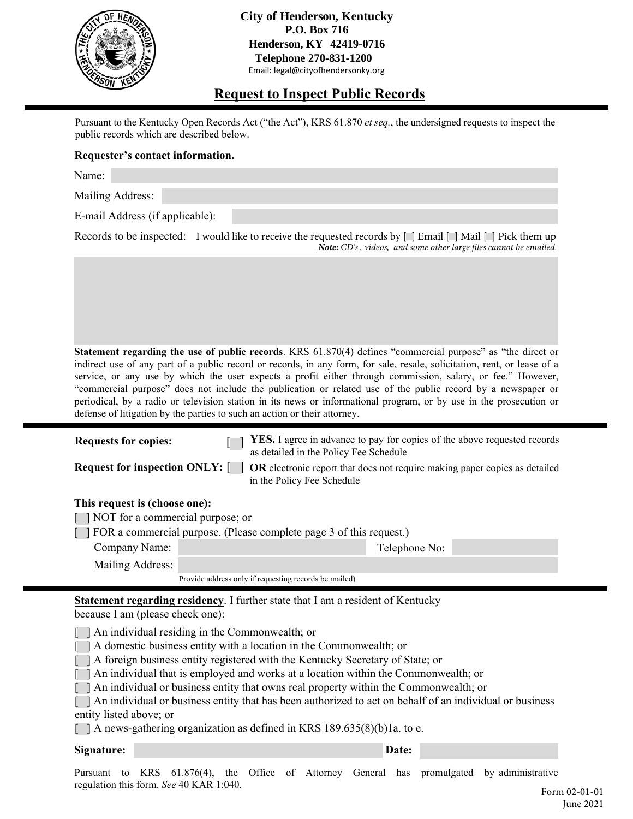

**City of Henderson, Kentucky P.O. Box 716 Henderson, KY 42419-0716 Telephone 270-831-1200** Email: legal@cityofhendersonky.org

# **Request to Inspect Public Records**

Pursuant to the Kentucky Open Records Act ("the Act"), KRS 61.870 *et seq.*, the undersigned requests to inspect the public records which are described below.

### **Requester's contact information.**

Name:

Mailing Address:

E-mail Address (if applicable):

Records to be inspected: I would like to receive the requested records by  $[\Box]$  Email  $[\Box]$  Mail  $[\Box]$  Pick them up *Note: CD's , videos, and some other large files cannot be emailed.*

**Statement regarding the use of public records**. KRS 61.870(4) defines "commercial purpose" as "the direct or indirect use of any part of a public record or records, in any form, for sale, resale, solicitation, rent, or lease of a service, or any use by which the user expects a profit either through commission, salary, or fee." However, "commercial purpose" does not include the publication or related use of the public record by a newspaper or periodical, by a radio or television station in its news or informational program, or by use in the prosecution or defense of litigation by the parties to such an action or their attorney.

| <b>Requests for copies:</b>                                             | YES. I agree in advance to pay for copies of the above requested records<br>as detailed in the Policy Fee Schedule |  |  |  |
|-------------------------------------------------------------------------|--------------------------------------------------------------------------------------------------------------------|--|--|--|
| <b>Request for inspection ONLY:</b>                                     | <b>OR</b> electronic report that does not require making paper copies as detailed<br>in the Policy Fee Schedule    |  |  |  |
| This request is (choose one):                                           |                                                                                                                    |  |  |  |
| [ ] NOT for a commercial purpose; or                                    |                                                                                                                    |  |  |  |
| [ ] FOR a commercial purpose. (Please complete page 3 of this request.) |                                                                                                                    |  |  |  |
| Company Name:                                                           | Telephone No:                                                                                                      |  |  |  |

| Mailing Address: |
|------------------|
|------------------|

Provide address only if requesting records be mailed)

**Statement regarding residency**. I further state that I am a resident of Kentucky because I am (please check one):

[ ] An individual residing in the Commonwealth; or

[ ] A domestic business entity with a location in the Commonwealth; or

[ ] A foreign business entity registered with the Kentucky Secretary of State; or

[ ] An individual that is employed and works at a location within the Commonwealth; or

[ ] An individual or business entity that owns real property within the Commonwealth; or

[ ] An individual or business entity that has been authorized to act on behalf of an individual or business entity listed above; or

 $\Box$  A news-gathering organization as defined in KRS 189.635(8)(b)1a. to e.

#### **Signature:** Date: **Date: Date: Date: Date: Date: Date: Date: Date: Date: Date: Date: Date: Date: Date: Date: Date: Date: Date: Date: Date: Date: Date: Date: Date: Date: Da**

Pursuant to KRS 61.876(4), the Office of Attorney General has promulgated by administrative regulation this form. *See* 40 KAR 1:040.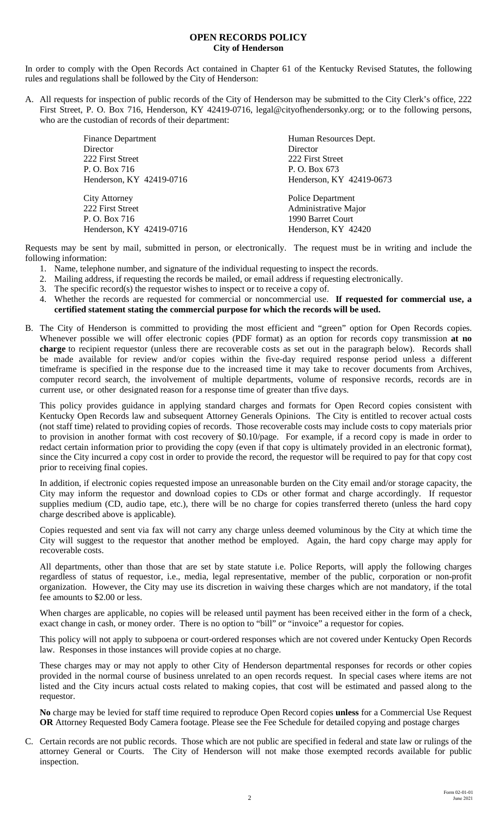### **OPEN RECORDS POLICY City of Henderson**

In order to comply with the Open Records Act contained in Chapter 61 of the Kentucky Revised Statutes, the following rules and regulations shall be followed by the City of Henderson:

A. All requests for inspection of public records of the City of Henderson may be submitted to the City Clerk's office, 222 First Street, P. O. Box 716, Henderson, KY 42419-0716, legal@cityofhendersonky.org; or to the following persons, who are the custodian of records of their department:

| <b>Finance Department</b> | Human Resources Dept.    |
|---------------------------|--------------------------|
| Director                  | Director                 |
| 222 First Street          | 222 First Street         |
| P. O. Box 716             | P. O. Box 673            |
| Henderson, KY 42419-0716  | Henderson, KY 42419-0673 |
| <b>City Attorney</b>      | <b>Police Department</b> |
| 222 First Street          | Administrative Major     |
| P. O. Box 716             | 1990 Barret Court        |
| Henderson, KY 42419-0716  | Henderson, KY 42420      |

Requests may be sent by mail, submitted in person, or electronically. The request must be in writing and include the following information:

- 1. Name, telephone number, and signature of the individual requesting to inspect the records.
- 2. Mailing address, if requesting the records be mailed, or email address if requesting electronically.
- 3. The specific record(s) the requestor wishes to inspect or to receive a copy of.
- 4. Whether the records are requested for commercial or noncommercial use. **If requested for commercial use, a certified statement stating the commercial purpose for which the records will be used.**
- B. The City of Henderson is committed to providing the most efficient and "green" option for Open Records copies. Whenever possible we will offer electronic copies (PDF format) as an option for records copy transmission **at no charge** to recipient requestor (unless there are recoverable costs as set out in the paragraph below). Records shall be made available for review and/or copies within the five-day required response period unless a different timeframe is specified in the response due to the increased time it may take to recover documents from Archives, computer record search, the involvement of multiple departments, volume of responsive records, records are in current use, or other designated reason for a response time of greater than tfive days.

This policy provides guidance in applying standard charges and formats for Open Record copies consistent with Kentucky Open Records law and subsequent Attorney Generals Opinions. The City is entitled to recover actual costs (not staff time) related to providing copies of records. Those recoverable costs may include costs to copy materials prior to provision in another format with cost recovery of \$0.10/page. For example, if a record copy is made in order to redact certain information prior to providing the copy (even if that copy is ultimately provided in an electronic format), since the City incurred a copy cost in order to provide the record, the requestor will be required to pay for that copy cost prior to receiving final copies.

In addition, if electronic copies requested impose an unreasonable burden on the City email and/or storage capacity, the City may inform the requestor and download copies to CDs or other format and charge accordingly. If requestor supplies medium (CD, audio tape, etc.), there will be no charge for copies transferred thereto (unless the hard copy charge described above is applicable).

Copies requested and sent via fax will not carry any charge unless deemed voluminous by the City at which time the City will suggest to the requestor that another method be employed. Again, the hard copy charge may apply for recoverable costs.

All departments, other than those that are set by state statute i.e. Police Reports, will apply the following charges regardless of status of requestor, i.e., media, legal representative, member of the public, corporation or non-profit organization. However, the City may use its discretion in waiving these charges which are not mandatory, if the total fee amounts to \$2.00 or less.

When charges are applicable, no copies will be released until payment has been received either in the form of a check, exact change in cash, or money order. There is no option to "bill" or "invoice" a requestor for copies.

This policy will not apply to subpoena or court-ordered responses which are not covered under Kentucky Open Records law. Responses in those instances will provide copies at no charge.

These charges may or may not apply to other City of Henderson departmental responses for records or other copies provided in the normal course of business unrelated to an open records request. In special cases where items are not listed and the City incurs actual costs related to making copies, that cost will be estimated and passed along to the requestor.

**No** charge may be levied for staff time required to reproduce Open Record copies **unless** for a Commercial Use Request **OR** Attorney Requested Body Camera footage. Please see the Fee Schedule for detailed copying and postage charges

C. Certain records are not public records. Those which are not public are specified in federal and state law or rulings of the attorney General or Courts. The City of Henderson will not make those exempted records available for public inspection.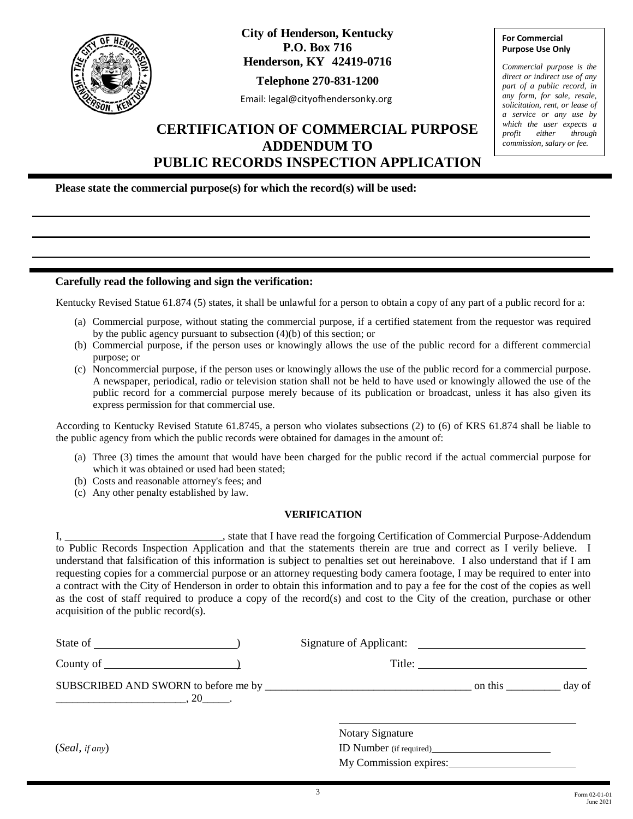

**City of Henderson, Kentucky P.O. Box 716 Henderson, KY 42419-0716**

**Telephone 270-831-1200**

Email: legal@cityofhendersonky.org

# **CERTIFICATION OF COMMERCIAL PURPOSE ADDENDUM TO PUBLIC RECORDS INSPECTION APPLICATION**

**For Commercial Purpose Use Only**

*Commercial purpose is the direct or indirect use of any part of a public record, in any form, for sale, resale, solicitation, rent, or lease of a service or any use by which the user expects a profit either through commission, salary or fee.*

**Please state the commercial purpose(s) for which the record(s) will be used:** 

#### **Carefully read the following and sign the verification:**

Kentucky Revised Statue 61.874 (5) states, it shall be unlawful for a person to obtain a copy of any part of a public record for a:

- (a) Commercial purpose, without stating the commercial purpose, if a certified statement from the requestor was required by the public agency pursuant to subsection (4)(b) of this section; or
- (b) Commercial purpose, if the person uses or knowingly allows the use of the public record for a different commercial purpose; or
- (c) Noncommercial purpose, if the person uses or knowingly allows the use of the public record for a commercial purpose. A newspaper, periodical, radio or television station shall not be held to have used or knowingly allowed the use of the public record for a commercial purpose merely because of its publication or broadcast, unless it has also given its express permission for that commercial use.

According to Kentucky Revised Statute 61.8745, a person who violates subsections (2) to (6) of KRS 61.874 shall be liable to the public agency from which the public records were obtained for damages in the amount of:

- (a) Three (3) times the amount that would have been charged for the public record if the actual commercial purpose for which it was obtained or used had been stated;
- (b) Costs and reasonable attorney's fees; and
- (c) Any other penalty established by law.

#### **VERIFICATION**

I, \_\_\_\_\_\_\_\_\_\_\_\_\_\_\_\_\_\_\_\_\_\_\_\_, state that I have read the forgoing Certification of Commercial Purpose-Addendum to Public Records Inspection Application and that the statements therein are true and correct as I verily believe. I understand that falsification of this information is subject to penalties set out hereinabove. I also understand that if I am requesting copies for a commercial purpose or an attorney requesting body camera footage, I may be required to enter into a contract with the City of Henderson in order to obtain this information and to pay a fee for the cost of the copies as well as the cost of staff required to produce a copy of the record(s) and cost to the City of the creation, purchase or other acquisition of the public record(s).

|                    |                                | Title:  |        |
|--------------------|--------------------------------|---------|--------|
| $\sim$ 0.20 $\sim$ |                                | on this | day of |
|                    | <b>Notary Signature</b>        |         |        |
| (Seal, if any)     | <b>ID</b> Number (if required) |         |        |
|                    | My Commission expires:         |         |        |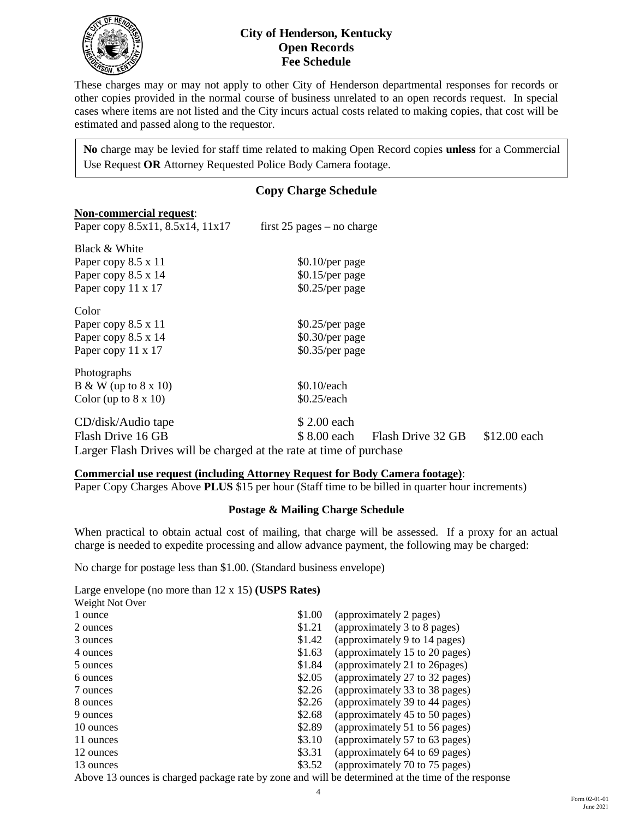

## **City of Henderson, Kentucky Open Records Fee Schedule**

These charges may or may not apply to other City of Henderson departmental responses for records or other copies provided in the normal course of business unrelated to an open records request. In special cases where items are not listed and the City incurs actual costs related to making copies, that cost will be estimated and passed along to the requestor.

**No** charge may be levied for staff time related to making Open Record copies **unless** for a Commercial Use Request **OR** Attorney Requested Police Body Camera footage.

# **Copy Charge Schedule Non-commercial request**: Paper copy  $8.5x11$ ,  $8.5x14$ ,  $11x17$  first 25 pages – no charge Black & White Paper copy  $8.5 \times 11$  \$0.10/per page Paper copy  $8.5 \times 14$  \$0.15/per page Paper copy  $11 \times 17$  \$0.25/per page Color Paper copy  $8.5 \times 11$  \$0.25/per page Paper copy  $8.5 \times 14$  \$0.30/per page Paper copy  $11 \times 17$  \$0.35/per page Photographs  $B & W (up to 8 x 10)$  \$0.10/each Color (up to  $8 \times 10$ )  $$0.25$ /each CD/disk/Audio tape \$ 2.00 each Flash Drive 16 GB  $$ 8.00$  each Flash Drive 32 GB \$12.00 each

## Larger Flash Drives will be charged at the rate at time of purchase

### **Commercial use request (including Attorney Request for Body Camera footage)**:

Paper Copy Charges Above **PLUS** \$15 per hour (Staff time to be billed in quarter hour increments)

### **Postage & Mailing Charge Schedule**

When practical to obtain actual cost of mailing, that charge will be assessed. If a proxy for an actual charge is needed to expedite processing and allow advance payment, the following may be charged:

No charge for postage less than \$1.00. (Standard business envelope)

Large envelope (no more than 12 x 15) **(USPS Rates)**

| Weight Not Over                                                                                    |        |                                |  |  |
|----------------------------------------------------------------------------------------------------|--------|--------------------------------|--|--|
| 1 ounce                                                                                            | \$1.00 | (approximately 2 pages)        |  |  |
| 2 ounces                                                                                           | \$1.21 | (approximately 3 to 8 pages)   |  |  |
| 3 ounces                                                                                           | \$1.42 | (approximately 9 to 14 pages)  |  |  |
| 4 ounces                                                                                           | \$1.63 | (approximately 15 to 20 pages) |  |  |
| 5 ounces                                                                                           | \$1.84 | (approximately 21 to 26 pages) |  |  |
| 6 ounces                                                                                           | \$2.05 | (approximately 27 to 32 pages) |  |  |
| 7 ounces                                                                                           | \$2.26 | (approximately 33 to 38 pages) |  |  |
| 8 ounces                                                                                           | \$2.26 | (approximately 39 to 44 pages) |  |  |
| 9 ounces                                                                                           | \$2.68 | (approximately 45 to 50 pages) |  |  |
| 10 ounces                                                                                          | \$2.89 | (approximately 51 to 56 pages) |  |  |
| 11 ounces                                                                                          | \$3.10 | (approximately 57 to 63 pages) |  |  |
| 12 ounces                                                                                          | \$3.31 | (approximately 64 to 69 pages) |  |  |
| 13 ounces                                                                                          | \$3.52 | (approximately 70 to 75 pages) |  |  |
| Above 13 ounces is charged package rate by zone and will be determined at the time of the response |        |                                |  |  |